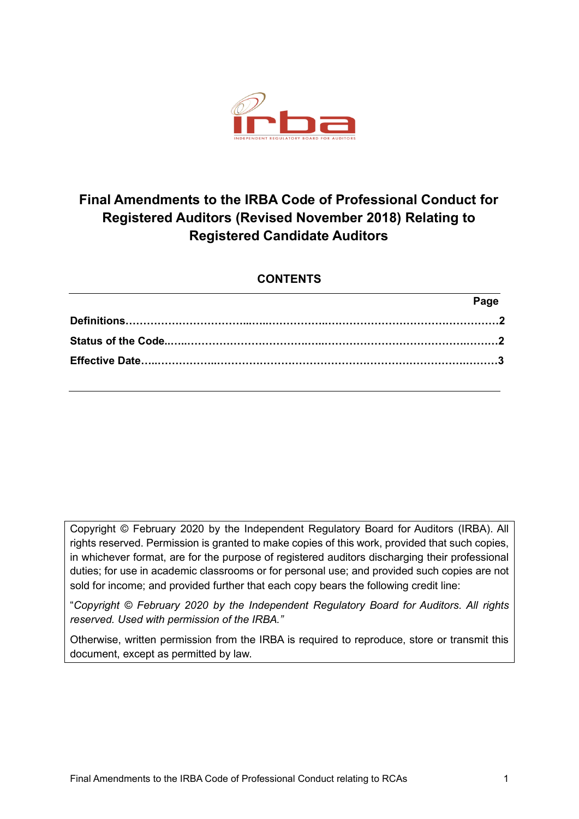

# **Final Amendments to the IRBA Code of Professional Conduct for Registered Auditors (Revised November 2018) Relating to Registered Candidate Auditors**

## **CONTENTS**

| Page |
|------|
|      |
|      |
|      |
|      |

Copyright © February 2020 by the Independent Regulatory Board for Auditors (IRBA). All rights reserved. Permission is granted to make copies of this work, provided that such copies, in whichever format, are for the purpose of registered auditors discharging their professional duties; for use in academic classrooms or for personal use; and provided such copies are not sold for income; and provided further that each copy bears the following credit line:

"*Copyright © February 2020 by the Independent Regulatory Board for Auditors. All rights reserved. Used with permission of the IRBA."*

Otherwise, written permission from the IRBA is required to reproduce, store or transmit this document, except as permitted by law.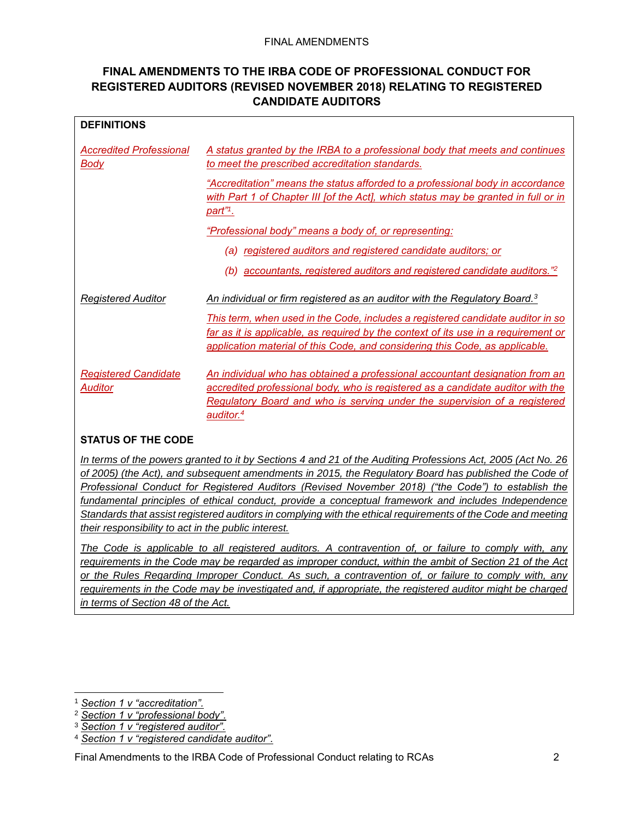#### FINAL AMENDMENTS

### **FINAL AMENDMENTS TO THE IRBA CODE OF PROFESSIONAL CONDUCT FOR REGISTERED AUDITORS (REVISED NOVEMBER 2018) RELATING TO REGISTERED CANDIDATE AUDITORS**

| <b>DEFINITIONS</b>                            |                                                                                                                                                                                                                                                                       |
|-----------------------------------------------|-----------------------------------------------------------------------------------------------------------------------------------------------------------------------------------------------------------------------------------------------------------------------|
| <b>Accredited Professional</b><br><u>Body</u> | A status granted by the IRBA to a professional body that meets and continues<br>to meet the prescribed accreditation standards.                                                                                                                                       |
|                                               | "Accreditation" means the status afforded to a professional body in accordance<br>with Part 1 of Chapter III fof the Act], which status may be granted in full or in<br><u>part"1.</u>                                                                                |
|                                               | "Professional body" means a body of, or representing:                                                                                                                                                                                                                 |
|                                               | (a) registered auditors and registered candidate auditors; or                                                                                                                                                                                                         |
|                                               | (b) accountants, registered auditors and registered candidate auditors." <sup>2</sup>                                                                                                                                                                                 |
| <b>Registered Auditor</b>                     | An individual or firm registered as an auditor with the Regulatory Board. <sup>3</sup>                                                                                                                                                                                |
|                                               | This term, when used in the Code, includes a registered candidate auditor in so<br>far as it is applicable, as required by the context of its use in a requirement or<br>application material of this Code, and considering this Code, as applicable.                 |
| <b>Registered Candidate</b><br><b>Auditor</b> | An individual who has obtained a professional accountant designation from an<br>accredited professional body, who is registered as a candidate auditor with the<br>Regulatory Board and who is serving under the supervision of a registered<br>auditor. <sup>4</sup> |

#### **STATUS OF THE CODE**

*In terms of the powers granted to it by Sections 4 and 21 of the Auditing Professions Act, 2005 (Act No. 26 of 2005) (the Act), and subsequent amendments in 2015, the Regulatory Board has published the Code of Professional Conduct for Registered Auditors (Revised November 2018) ("the Code") to establish the fundamental principles of ethical conduct, provide a conceptual framework and includes Independence Standards that assist registered auditors in complying with the ethical requirements of the Code and meeting their responsibility to act in the public interest.* 

*The Code is applicable to all registered auditors. A contravention of, or failure to comply with, any requirements in the Code may be regarded as improper conduct, within the ambit of Section 21 of the Act or the Rules Regarding Improper Conduct. As such, a contravention of, or failure to comply with, any requirements in the Code may be investigated and, if appropriate, the registered auditor might be charged in terms of Section 48 of the Act.*

<sup>1</sup> *Section 1 v "accreditation".*

<sup>2</sup> *Section 1 v "professional body".*

<sup>3</sup> *Section 1 v "registered auditor".*

<sup>4</sup> *Section 1 v "registered candidate auditor".*

Final Amendments to the IRBA Code of Professional Conduct relating to RCAs 2